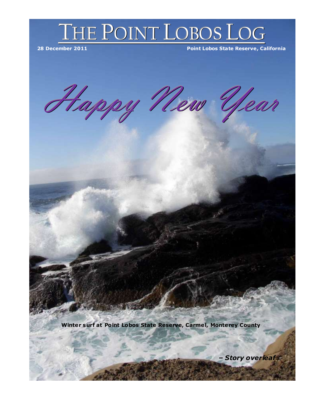

Happy New Year

**Winter surf at Point Lobos State Reserve, Carme l, Monterey County**

实验室

*– Story overleaf*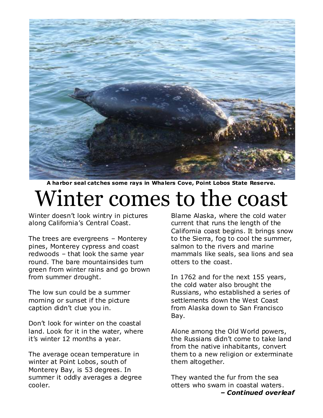

**A harbor seal catches some rays in Wha lers Cove, Point Lobos State Reserve.**

## Winter comes to the coast

Winter doesn't look wintry in pictures along California's Central Coast.

The trees are evergreens – Monterey pines, Monterey cypress and coast redwoods – that look the same year round. The bare mountainsides turn green from winter rains and go brown from summer drought.

The low sun could be a summer morning or sunset if the picture caption didn't clue you in.

Don't look for winter on the coastal land. Look for it in the water, where it's winter 12 months a year.

The average ocean temperature in winter at Point Lobos, south of Monterey Bay, is 53 degrees. In summer it oddly averages a degree cooler.

Blame Alaska, where the cold water current that runs the length of the California coast begins. It brings snow to the Sierra, fog to cool the summer, salmon to the rivers and marine mammals like seals, sea lions and sea otters to the coast.

In 1762 and for the next 155 years, the cold water also brought the Russians, who established a series of settlements down the West Coast from Alaska down to San Francisco Bay.

Alone among the Old World powers, the Russians didn't come to take land from the native inhabitants, convert them to a new religion or exterminate them altogether.

They wanted the fur from the sea otters who swam in coastal waters. *– Continued overleaf*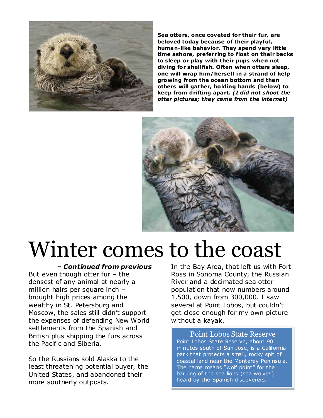

**Sea otters, once coveted for their fur, are beloved today because of their playful, human-like behavior. They spend very little time ashore, preferring to float on their backs to sleep or play with their pups when not diving for shellfish. Often when otters sleep, one will wrap him/herse lf in a strand of ke lp growing from the ocean bottom and then others will gather, holding hands (be low) to keep from drifting apart.** *(I did not shoot the otter pictures; they came from the internet)*



## Winter comes to the coast

*– Continued from previous*

But even though otter fur – the densest of any animal at nearly a million hairs per square inch – brought high prices among the wealthy in St. Petersburg and Moscow, the sales still didn't support the expenses of defending New World settlements from the Spanish and British plus shipping the furs across the Pacific and Siberia.

So the Russians sold Alaska to the least threatening potential buyer, the United States, and abandoned their more southerly outposts.

In the Bay Area, that left us with Fort Ross in Sonoma County, the Russian River and a decimated sea otter population that now numbers around 1,500, down from 300,000. I saw several at Point Lobos, but couldn't get close enough for my own picture without a kayak.

Point Lobos State Reserve Point Lobos State Reserve, about 90 minutes south of San Jose, is a California park that protects a small, rocky spit of coastal land near the Monterey Peninsula. The name means "wolf point" for the barking of the sea lions (sea wolves) heard by the Spanish discoverers.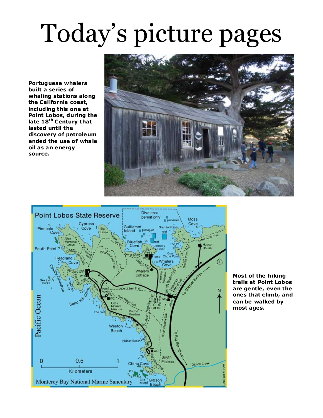## Today's picture pages

**Portuguese whalers built a series of whaling stations along the California coast, including this one at Point Lobos, during the late 18th Century that lasted until the discovery of petroleum ended the use of wha le oil as an energy source.**





**Most of the hiking trails at Point Lobos are gentle, even the ones that c limb, and can be walked by most ages.**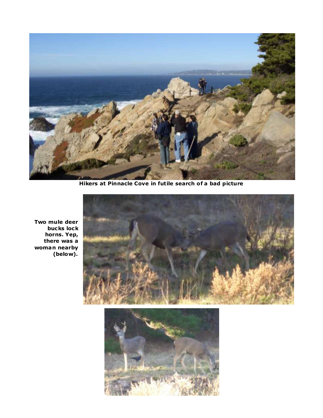

**Hikers at Pinnacle Cove in futile search of a bad picture**



**Two mule deer bucks lock horns. Yep, there was a woman nearby (below).**

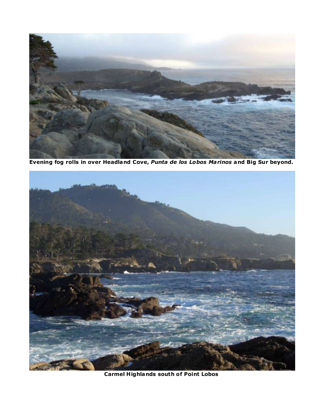

**Evening fog rolls in over Headland Cove,** *Punta de los Lobos Marinos* **and Big Sur beyond.**



**Carmel Highlands south of Point Lobos**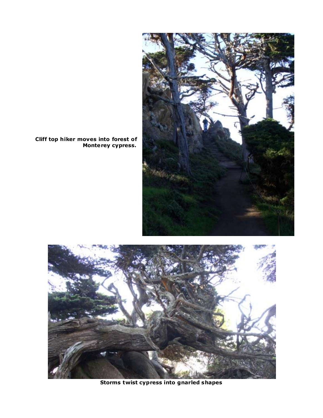

**Cliff top hiker moves into forest of Monterey cypress.**



**Storms twist cypress into gnarled shapes**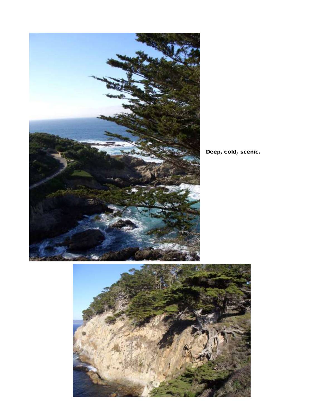

**Deep, cold, scenic.**